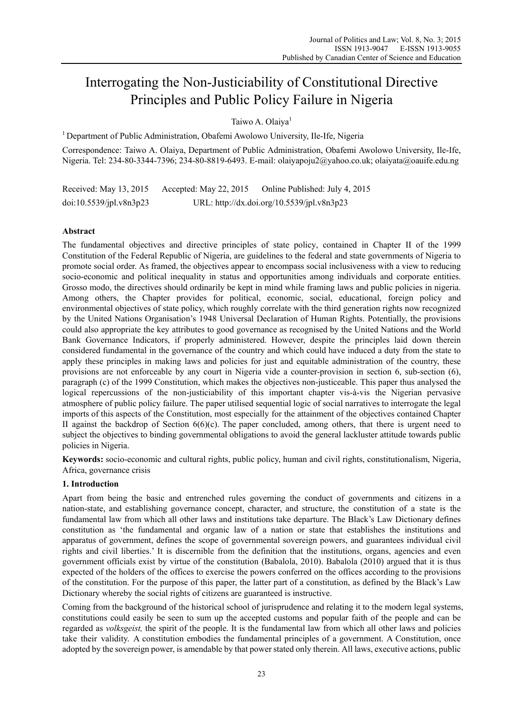# Interrogating the Non-Justiciability of Constitutional Directive Principles and Public Policy Failure in Nigeria

Taiwo A. Olaiya<sup>1</sup>

<sup>1</sup> Department of Public Administration, Obafemi Awolowo University, Ile-Ife, Nigeria

Correspondence: Taiwo A. Olaiya, Department of Public Administration, Obafemi Awolowo University, Ile-Ife, Nigeria. Tel: 234-80-3344-7396; 234-80-8819-6493. E-mail: olaiyapoju2@yahoo.co.uk; olaiyata@oauife.edu.ng

Received: May 13, 2015 Accepted: May 22, 2015 Online Published: July 4, 2015 doi:10.5539/jpl.v8n3p23 URL: http://dx.doi.org/10.5539/jpl.v8n3p23

# **Abstract**

The fundamental objectives and directive principles of state policy, contained in Chapter II of the 1999 Constitution of the Federal Republic of Nigeria, are guidelines to the federal and state governments of Nigeria to promote social order. As framed, the objectives appear to encompass social inclusiveness with a view to reducing socio-economic and political inequality in status and opportunities among individuals and corporate entities. Grosso modo, the directives should ordinarily be kept in mind while framing laws and public policies in nigeria. Among others, the Chapter provides for political, economic, social, educational, foreign policy and environmental objectives of state policy, which roughly correlate with the third generation rights now recognized by the United Nations Organisation's 1948 Universal Declaration of Human Rights. Potentially, the provisions could also appropriate the key attributes to good governance as recognised by the United Nations and the World Bank Governance Indicators, if properly administered. However, despite the principles laid down therein considered fundamental in the governance of the country and which could have induced a duty from the state to apply these principles in making laws and policies for just and equitable administration of the country, these provisions are not enforceable by any court in Nigeria vide a counter-provision in section 6, sub-section (6), paragraph (c) of the 1999 Constitution, which makes the objectives non-justiceable. This paper thus analysed the logical repercussions of the non-justiciability of this important chapter vis-à-vis the Nigerian pervasive atmosphere of public policy failure. The paper utilised sequential logic of social narratives to interrogate the legal imports of this aspects of the Constitution, most especially for the attainment of the objectives contained Chapter II against the backdrop of Section 6(6)(c). The paper concluded, among others, that there is urgent need to subject the objectives to binding governmental obligations to avoid the general lackluster attitude towards public policies in Nigeria.

**Keywords:** socio-economic and cultural rights, public policy, human and civil rights, constitutionalism, Nigeria, Africa, governance crisis

## **1. Introduction**

Apart from being the basic and entrenched rules governing the conduct of governments and citizens in a nation-state, and establishing governance concept, character, and structure, the constitution of a state is the fundamental law from which all other laws and institutions take departure. The Black's Law Dictionary defines constitution as 'the fundamental and organic law of a nation or state that establishes the institutions and apparatus of government, defines the scope of governmental sovereign powers, and guarantees individual civil rights and civil liberties.' It is discernible from the definition that the institutions, organs, agencies and even government officials exist by virtue of the constitution (Babalola, 2010). Babalola (2010) argued that it is thus expected of the holders of the offices to exercise the powers conferred on the offices according to the provisions of the constitution. For the purpose of this paper, the latter part of a constitution, as defined by the Black's Law Dictionary whereby the social rights of citizens are guaranteed is instructive.

Coming from the background of the historical school of jurisprudence and relating it to the modern legal systems, constitutions could easily be seen to sum up the accepted customs and popular faith of the people and can be regarded as *volksgeist,* the spirit of the people. It is the fundamental law from which all other laws and policies take their validity. A constitution embodies the fundamental principles of a government. A Constitution, once adopted by the sovereign power, is amendable by that power stated only therein. All laws, executive actions, public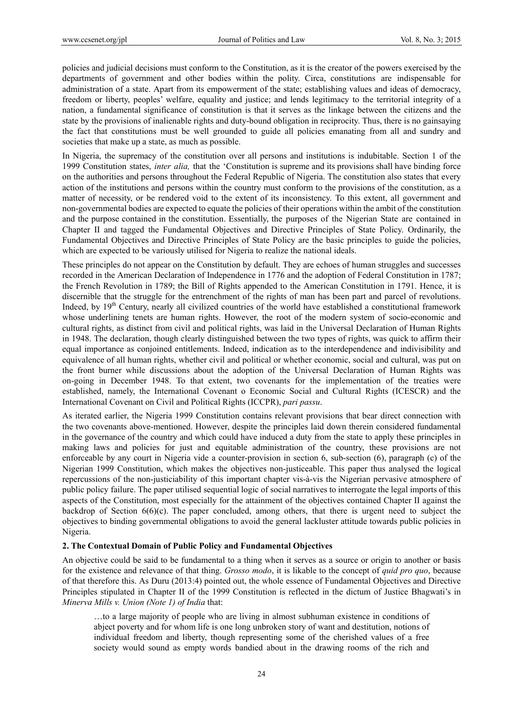policies and judicial decisions must conform to the Constitution, as it is the creator of the powers exercised by the departments of government and other bodies within the polity. Circa, constitutions are indispensable for administration of a state. Apart from its empowerment of the state; establishing values and ideas of democracy, freedom or liberty, peoples' welfare, equality and justice; and lends legitimacy to the territorial integrity of a nation, a fundamental significance of constitution is that it serves as the linkage between the citizens and the state by the provisions of inalienable rights and duty-bound obligation in reciprocity. Thus, there is no gainsaying the fact that constitutions must be well grounded to guide all policies emanating from all and sundry and societies that make up a state, as much as possible.

In Nigeria, the supremacy of the constitution over all persons and institutions is indubitable. Section 1 of the 1999 Constitution states, *inter alia,* that the 'Constitution is supreme and its provisions shall have binding force on the authorities and persons throughout the Federal Republic of Nigeria. The constitution also states that every action of the institutions and persons within the country must conform to the provisions of the constitution, as a matter of necessity, or be rendered void to the extent of its inconsistency. To this extent, all government and non-governmental bodies are expected to equate the policies of their operations within the ambit of the constitution and the purpose contained in the constitution. Essentially, the purposes of the Nigerian State are contained in Chapter II and tagged the Fundamental Objectives and Directive Principles of State Policy. Ordinarily, the Fundamental Objectives and Directive Principles of State Policy are the basic principles to guide the policies, which are expected to be variously utilised for Nigeria to realize the national ideals.

These principles do not appear on the Constitution by default. They are echoes of human struggles and successes recorded in the American Declaration of Independence in 1776 and the adoption of Federal Constitution in 1787; the French Revolution in 1789; the Bill of Rights appended to the American Constitution in 1791. Hence, it is discernible that the struggle for the entrenchment of the rights of man has been part and parcel of revolutions. Indeed, by 19th Century, nearly all civilized countries of the world have established a constitutional framework whose underlining tenets are human rights. However, the root of the modern system of socio-economic and cultural rights, as distinct from civil and political rights, was laid in the Universal Declaration of Human Rights in 1948. The declaration, though clearly distinguished between the two types of rights, was quick to affirm their equal importance as conjoined entitlements. Indeed, indication as to the interdependence and indivisibility and equivalence of all human rights, whether civil and political or whether economic, social and cultural, was put on the front burner while discussions about the adoption of the Universal Declaration of Human Rights was on-going in December 1948. To that extent, two covenants for the implementation of the treaties were established, namely, the International Covenant o Economic Social and Cultural Rights (ICESCR) and the International Covenant on Civil and Political Rights (ICCPR), *pari passu*.

As iterated earlier, the Nigeria 1999 Constitution contains relevant provisions that bear direct connection with the two covenants above-mentioned. However, despite the principles laid down therein considered fundamental in the governance of the country and which could have induced a duty from the state to apply these principles in making laws and policies for just and equitable administration of the country, these provisions are not enforceable by any court in Nigeria vide a counter-provision in section 6, sub-section (6), paragraph (c) of the Nigerian 1999 Constitution, which makes the objectives non-justiceable. This paper thus analysed the logical repercussions of the non-justiciability of this important chapter vis-à-vis the Nigerian pervasive atmosphere of public policy failure. The paper utilised sequential logic of social narratives to interrogate the legal imports of this aspects of the Constitution, most especially for the attainment of the objectives contained Chapter II against the backdrop of Section  $6(6)(c)$ . The paper concluded, among others, that there is urgent need to subject the objectives to binding governmental obligations to avoid the general lackluster attitude towards public policies in Nigeria.

#### **2. The Contextual Domain of Public Policy and Fundamental Objectives**

An objective could be said to be fundamental to a thing when it serves as a source or origin to another or basis for the existence and relevance of that thing. *Grosso modo*, it is likable to the concept of *quid pro quo*, because of that therefore this. As Duru (2013:4) pointed out, the whole essence of Fundamental Objectives and Directive Principles stipulated in Chapter II of the 1999 Constitution is reflected in the dictum of Justice Bhagwati's in *Minerva Mills v. Union (Note 1) of India* that:

…to a large majority of people who are living in almost subhuman existence in conditions of abject poverty and for whom life is one long unbroken story of want and destitution, notions of individual freedom and liberty, though representing some of the cherished values of a free society would sound as empty words bandied about in the drawing rooms of the rich and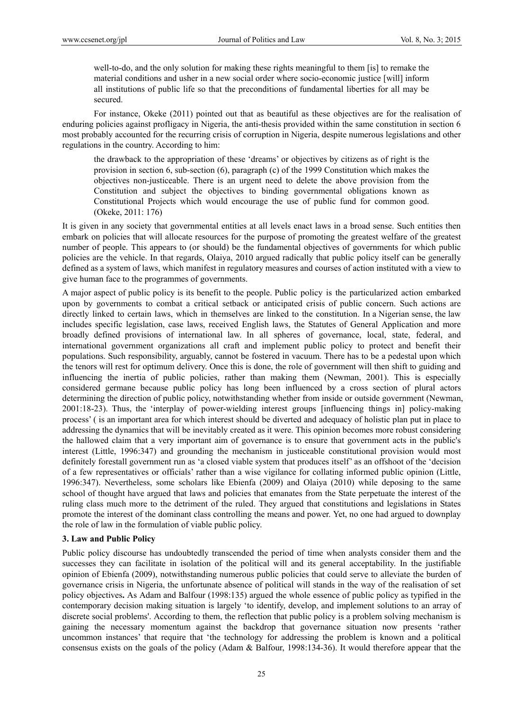well-to-do, and the only solution for making these rights meaningful to them [is] to remake the material conditions and usher in a new social order where socio-economic justice [will] inform all institutions of public life so that the preconditions of fundamental liberties for all may be secured.

For instance, Okeke (2011) pointed out that as beautiful as these objectives are for the realisation of enduring policies against profligacy in Nigeria, the anti-thesis provided within the same constitution in section 6 most probably accounted for the recurring crisis of corruption in Nigeria, despite numerous legislations and other regulations in the country. According to him:

the drawback to the appropriation of these 'dreams' or objectives by citizens as of right is the provision in section 6, sub-section (6), paragraph (c) of the 1999 Constitution which makes the objectives non-justiceable. There is an urgent need to delete the above provision from the Constitution and subject the objectives to binding governmental obligations known as Constitutional Projects which would encourage the use of public fund for common good. (Okeke, 2011: 176)

It is given in any society that governmental entities at all levels enact laws in a broad sense. Such entities then embark on policies that will allocate resources for the purpose of promoting the greatest welfare of the greatest number of people. This appears to (or should) be the fundamental objectives of governments for which public policies are the vehicle. In that regards, Olaiya, 2010 argued radically that public policy itself can be generally defined as a system of laws, which manifest in regulatory measures and courses of action instituted with a view to give human face to the programmes of governments.

A major aspect of public policy is its benefit to the people. Public policy is the particularized action embarked upon by governments to combat a critical setback or anticipated crisis of public concern. Such actions are directly linked to certain laws, which in themselves are linked to the constitution. In a Nigerian sense, the law includes specific legislation, case laws, received English laws, the Statutes of General Application and more broadly defined provisions of international law. In all spheres of governance, local, state, federal, and international government organizations all craft and implement public policy to protect and benefit their populations. Such responsibility, arguably, cannot be fostered in vacuum. There has to be a pedestal upon which the tenors will rest for optimum delivery. Once this is done, the role of government will then shift to guiding and influencing the inertia of public policies, rather than making them (Newman, 2001). This is especially considered germane because public policy has long been influenced by a cross section of plural actors determining the direction of public policy, notwithstanding whether from inside or outside government (Newman, 2001:18-23). Thus, the 'interplay of power-wielding interest groups [influencing things in] policy-making process' ( is an important area for which interest should be diverted and adequacy of holistic plan put in place to addressing the dynamics that will be inevitably created as it were. This opinion becomes more robust considering the hallowed claim that a very important aim of governance is to ensure that government acts in the public's interest (Little, 1996:347) and grounding the mechanism in justiceable constitutional provision would most definitely forestall government run as 'a closed viable system that produces itself' as an offshoot of the 'decision of a few representatives or officials' rather than a wise vigilance for collating informed public opinion (Little, 1996:347). Nevertheless, some scholars like Ebienfa (2009) and Olaiya (2010) while deposing to the same school of thought have argued that laws and policies that emanates from the State perpetuate the interest of the ruling class much more to the detriment of the ruled. They argued that constitutions and legislations in States promote the interest of the dominant class controlling the means and power. Yet, no one had argued to downplay the role of law in the formulation of viable public policy.

#### **3. Law and Public Policy**

Public policy discourse has undoubtedly transcended the period of time when analysts consider them and the successes they can facilitate in isolation of the political will and its general acceptability. In the justifiable opinion of Ebienfa (2009), notwithstanding numerous public policies that could serve to alleviate the burden of governance crisis in Nigeria, the unfortunate absence of political will stands in the way of the realisation of set policy objectives**.** As Adam and Balfour (1998:135) argued the whole essence of public policy as typified in the contemporary decision making situation is largely 'to identify, develop, and implement solutions to an array of discrete social problems'. According to them, the reflection that public policy is a problem solving mechanism is gaining the necessary momentum against the backdrop that governance situation now presents 'rather uncommon instances' that require that 'the technology for addressing the problem is known and a political consensus exists on the goals of the policy (Adam & Balfour, 1998:134-36). It would therefore appear that the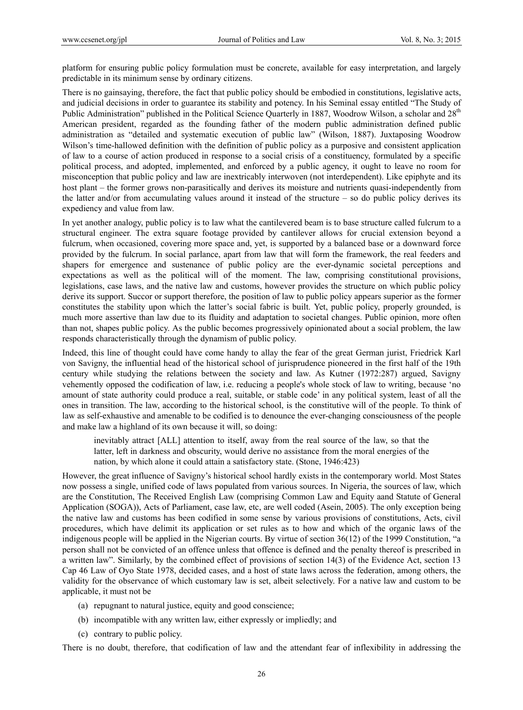platform for ensuring public policy formulation must be concrete, available for easy interpretation, and largely predictable in its minimum sense by ordinary citizens.

There is no gainsaying, therefore, the fact that public policy should be embodied in constitutions, legislative acts, and judicial decisions in order to guarantee its stability and potency. In his Seminal essay entitled "The Study of Public Administration" published in the Political Science Quarterly in 1887, Woodrow Wilson, a scholar and 28<sup>th</sup> American president, regarded as the founding father of the modern public administration defined public administration as "detailed and systematic execution of public law" (Wilson, 1887). Juxtaposing Woodrow Wilson's time-hallowed definition with the definition of public policy as a purposive and consistent application of law to a course of action produced in response to a social crisis of a constituency, formulated by a specific political process, and adopted, implemented, and enforced by a public agency, it ought to leave no room for misconception that public policy and law are inextricably interwoven (not interdependent). Like epiphyte and its host plant – the former grows non-parasitically and derives its moisture and nutrients quasi-independently from the latter and/or from accumulating values around it instead of the structure – so do public policy derives its expediency and value from law.

In yet another analogy, public policy is to law what the cantilevered beam is to base structure called fulcrum to a structural engineer. The extra square footage provided by cantilever allows for crucial extension beyond a fulcrum, when occasioned, covering more space and, yet, is supported by a balanced base or a downward force provided by the fulcrum. In social parlance, apart from law that will form the framework, the real feeders and shapers for emergence and sustenance of public policy are the ever-dynamic societal perceptions and expectations as well as the political will of the moment. The law, comprising constitutional provisions, legislations, case laws, and the native law and customs, however provides the structure on which public policy derive its support. Succor or support therefore, the position of law to public policy appears superior as the former constitutes the stability upon which the latter's social fabric is built. Yet, public policy, properly grounded, is much more assertive than law due to its fluidity and adaptation to societal changes. Public opinion, more often than not, shapes public policy. As the public becomes progressively opinionated about a social problem, the law responds characteristically through the dynamism of public policy.

Indeed, this line of thought could have come handy to allay the fear of the great German jurist, Friedrick Karl von Savigny, the influential head of the historical school of jurisprudence pioneered in the first half of the 19th century while studying the relations between the society and law. As Kutner (1972:287) argued, Savigny vehemently opposed the codification of law, i.e. reducing a people's whole stock of law to writing, because 'no amount of state authority could produce a real, suitable, or stable code' in any political system, least of all the ones in transition. The law, according to the historical school, is the constitutive will of the people. To think of law as self-exhaustive and amenable to be codified is to denounce the ever-changing consciousness of the people and make law a highland of its own because it will, so doing:

inevitably attract [ALL] attention to itself, away from the real source of the law, so that the latter, left in darkness and obscurity, would derive no assistance from the moral energies of the nation, by which alone it could attain a satisfactory state. (Stone, 1946:423)

However, the great influence of Savigny's historical school hardly exists in the contemporary world. Most States now possess a single, unified code of laws populated from various sources. In Nigeria, the sources of law, which are the Constitution, The Received English Law (comprising Common Law and Equity aand Statute of General Application (SOGA)), Acts of Parliament, case law, etc, are well coded (Asein, 2005). The only exception being the native law and customs has been codified in some sense by various provisions of constitutions, Acts, civil procedures, which have delimit its application or set rules as to how and which of the organic laws of the indigenous people will be applied in the Nigerian courts. By virtue of section 36(12) of the 1999 Constitution, "a person shall not be convicted of an offence unless that offence is defined and the penalty thereof is prescribed in a written law". Similarly, by the combined effect of provisions of section 14(3) of the Evidence Act, section 13 Cap 46 Law of Oyo State 1978, decided cases, and a host of state laws across the federation, among others, the validity for the observance of which customary law is set, albeit selectively. For a native law and custom to be applicable, it must not be

- (a) repugnant to natural justice, equity and good conscience;
- (b) incompatible with any written law, either expressly or impliedly; and
- (c) contrary to public policy.

There is no doubt, therefore, that codification of law and the attendant fear of inflexibility in addressing the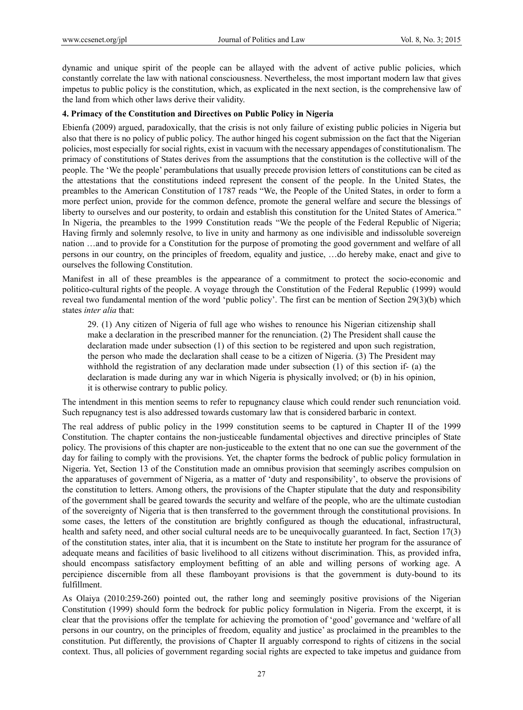dynamic and unique spirit of the people can be allayed with the advent of active public policies, which constantly correlate the law with national consciousness. Nevertheless, the most important modern law that gives impetus to public policy is the constitution, which, as explicated in the next section, is the comprehensive law of the land from which other laws derive their validity.

#### **4. Primacy of the Constitution and Directives on Public Policy in Nigeria**

Ebienfa (2009) argued, paradoxically, that the crisis is not only failure of existing public policies in Nigeria but also that there is no policy of public policy. The author hinged his cogent submission on the fact that the Nigerian policies, most especially for social rights, exist in vacuum with the necessary appendages of constitutionalism. The primacy of constitutions of States derives from the assumptions that the constitution is the collective will of the people. The 'We the people' perambulations that usually precede provision letters of constitutions can be cited as the attestations that the constitutions indeed represent the consent of the people. In the United States, the preambles to the American Constitution of 1787 reads "We, the People of the United States, in order to form a more perfect union, provide for the common defence, promote the general welfare and secure the blessings of liberty to ourselves and our posterity, to ordain and establish this constitution for the United States of America." In Nigeria, the preambles to the 1999 Constitution reads "We the people of the Federal Republic of Nigeria; Having firmly and solemnly resolve, to live in unity and harmony as one indivisible and indissoluble sovereign nation …and to provide for a Constitution for the purpose of promoting the good government and welfare of all persons in our country, on the principles of freedom, equality and justice, …do hereby make, enact and give to ourselves the following Constitution.

Manifest in all of these preambles is the appearance of a commitment to protect the socio-economic and politico-cultural rights of the people. A voyage through the Constitution of the Federal Republic (1999) would reveal two fundamental mention of the word 'public policy'. The first can be mention of Section 29(3)(b) which states *inter alia* that:

29. (1) Any citizen of Nigeria of full age who wishes to renounce his Nigerian citizenship shall make a declaration in the prescribed manner for the renunciation. (2) The President shall cause the declaration made under subsection (1) of this section to be registered and upon such registration, the person who made the declaration shall cease to be a citizen of Nigeria. (3) The President may withhold the registration of any declaration made under subsection (1) of this section if- (a) the declaration is made during any war in which Nigeria is physically involved; or (b) in his opinion, it is otherwise contrary to public policy.

The intendment in this mention seems to refer to repugnancy clause which could render such renunciation void. Such repugnancy test is also addressed towards customary law that is considered barbaric in context.

The real address of public policy in the 1999 constitution seems to be captured in Chapter II of the 1999 Constitution. The chapter contains the non-justiceable fundamental objectives and directive principles of State policy. The provisions of this chapter are non-justiceable to the extent that no one can sue the government of the day for failing to comply with the provisions. Yet, the chapter forms the bedrock of public policy formulation in Nigeria. Yet, Section 13 of the Constitution made an omnibus provision that seemingly ascribes compulsion on the apparatuses of government of Nigeria, as a matter of 'duty and responsibility', to observe the provisions of the constitution to letters. Among others, the provisions of the Chapter stipulate that the duty and responsibility of the government shall be geared towards the security and welfare of the people, who are the ultimate custodian of the sovereignty of Nigeria that is then transferred to the government through the constitutional provisions. In some cases, the letters of the constitution are brightly configured as though the educational, infrastructural, health and safety need, and other social cultural needs are to be unequivocally guaranteed. In fact, Section 17(3) of the constitution states, inter alia, that it is incumbent on the State to institute her program for the assurance of adequate means and facilities of basic livelihood to all citizens without discrimination. This, as provided infra, should encompass satisfactory employment befitting of an able and willing persons of working age. A percipience discernible from all these flamboyant provisions is that the government is duty-bound to its fulfillment.

As Olaiya (2010:259-260) pointed out, the rather long and seemingly positive provisions of the Nigerian Constitution (1999) should form the bedrock for public policy formulation in Nigeria. From the excerpt, it is clear that the provisions offer the template for achieving the promotion of 'good' governance and 'welfare of all persons in our country, on the principles of freedom, equality and justice' as proclaimed in the preambles to the constitution. Put differently, the provisions of Chapter II arguably correspond to rights of citizens in the social context. Thus, all policies of government regarding social rights are expected to take impetus and guidance from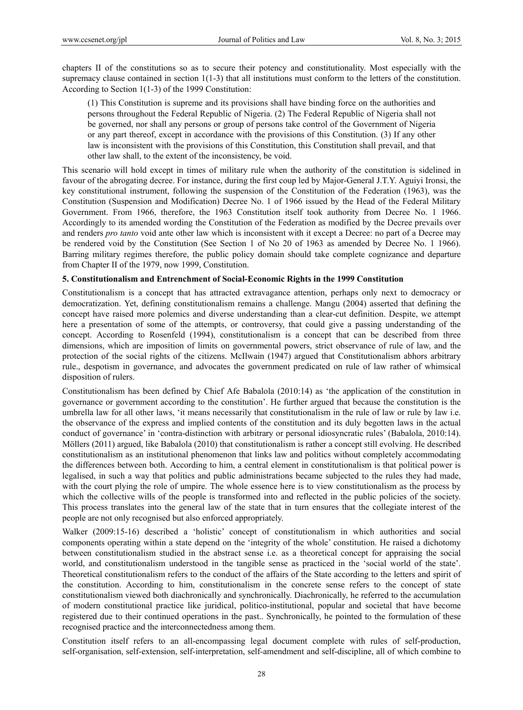chapters II of the constitutions so as to secure their potency and constitutionality. Most especially with the supremacy clause contained in section 1(1-3) that all institutions must conform to the letters of the constitution. According to Section 1(1-3) of the 1999 Constitution:

(1) This Constitution is supreme and its provisions shall have binding force on the authorities and persons throughout the Federal Republic of Nigeria. (2) The Federal Republic of Nigeria shall not be governed, nor shall any persons or group of persons take control of the Government of Nigeria or any part thereof, except in accordance with the provisions of this Constitution. (3) If any other law is inconsistent with the provisions of this Constitution, this Constitution shall prevail, and that other law shall, to the extent of the inconsistency, be void.

This scenario will hold except in times of military rule when the authority of the constitution is sidelined in favour of the abrogating decree. For instance, during the first coup led by Major-General J.T.Y. Aguiyi Ironsi, the key constitutional instrument, following the suspension of the Constitution of the Federation (1963), was the Constitution (Suspension and Modification) Decree No. 1 of 1966 issued by the Head of the Federal Military Government. From 1966, therefore, the 1963 Constitution itself took authority from Decree No. 1 1966. Accordingly to its amended wording the Constitution of the Federation as modified by the Decree prevails over and renders *pro tanto* void ante other law which is inconsistent with it except a Decree: no part of a Decree may be rendered void by the Constitution (See Section 1 of No 20 of 1963 as amended by Decree No. 1 1966). Barring military regimes therefore, the public policy domain should take complete cognizance and departure from Chapter II of the 1979, now 1999, Constitution.

## **5. Constitutionalism and Entrenchment of Social-Economic Rights in the 1999 Constitution**

Constitutionalism is a concept that has attracted extravagance attention, perhaps only next to democracy or democratization. Yet, defining constitutionalism remains a challenge. Mangu (2004) asserted that defining the concept have raised more polemics and diverse understanding than a clear-cut definition. Despite, we attempt here a presentation of some of the attempts, or controversy, that could give a passing understanding of the concept. According to Rosenfeld (1994), constitutionalism is a concept that can be described from three dimensions, which are imposition of limits on governmental powers, strict observance of rule of law, and the protection of the social rights of the citizens. McIlwain (1947) argued that Constitutionalism abhors arbitrary rule., despotism in governance, and advocates the government predicated on rule of law rather of whimsical disposition of rulers.

Constitutionalism has been defined by Chief Afe Babalola (2010:14) as 'the application of the constitution in governance or government according to the constitution'. He further argued that because the constitution is the umbrella law for all other laws, 'it means necessarily that constitutionalism in the rule of law or rule by law i.e. the observance of the express and implied contents of the constitution and its duly begotten laws in the actual conduct of governance' in 'contra-distinction with arbitrary or personal idiosyncratic rules' (Babalola, 2010:14). Möllers (2011) argued, like Babalola (2010) that constitutionalism is rather a concept still evolving. He described constitutionalism as an institutional phenomenon that links law and politics without completely accommodating the differences between both. According to him, a central element in constitutionalism is that political power is legalised, in such a way that politics and public administrations became subjected to the rules they had made, with the court plying the role of umpire. The whole essence here is to view constitutionalism as the process by which the collective wills of the people is transformed into and reflected in the public policies of the society. This process translates into the general law of the state that in turn ensures that the collegiate interest of the people are not only recognised but also enforced appropriately.

Walker (2009:15-16) described a 'holistic' concept of constitutionalism in which authorities and social components operating within a state depend on the 'integrity of the whole' constitution. He raised a dichotomy between constitutionalism studied in the abstract sense i.e. as a theoretical concept for appraising the social world, and constitutionalism understood in the tangible sense as practiced in the 'social world of the state'. Theoretical constitutionalism refers to the conduct of the affairs of the State according to the letters and spirit of the constitution. According to him, constitutionalism in the concrete sense refers to the concept of state constitutionalism viewed both diachronically and synchronically. Diachronically, he referred to the accumulation of modern constitutional practice like juridical, politico-institutional, popular and societal that have become registered due to their continued operations in the past.. Synchronically, he pointed to the formulation of these recognised practice and the interconnectedness among them.

Constitution itself refers to an all-encompassing legal document complete with rules of self-production, self-organisation, self-extension, self-interpretation, self-amendment and self-discipline, all of which combine to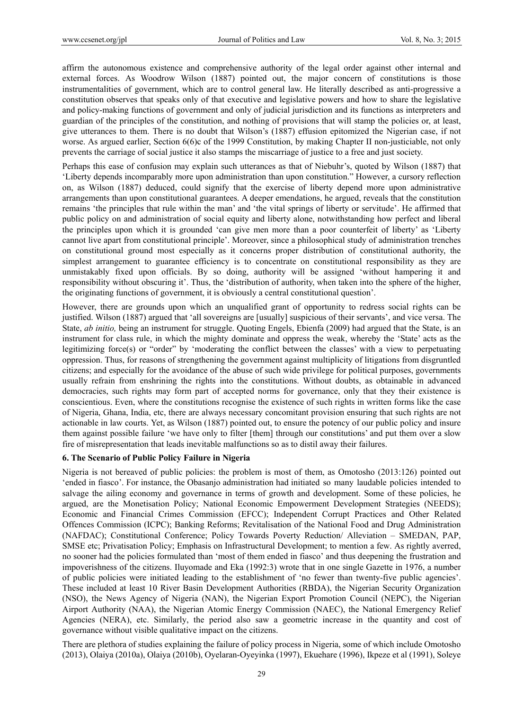affirm the autonomous existence and comprehensive authority of the legal order against other internal and external forces. As Woodrow Wilson (1887) pointed out, the major concern of constitutions is those instrumentalities of government, which are to control general law. He literally described as anti-progressive a constitution observes that speaks only of that executive and legislative powers and how to share the legislative and policy-making functions of government and only of judicial jurisdiction and its functions as interpreters and guardian of the principles of the constitution, and nothing of provisions that will stamp the policies or, at least, give utterances to them. There is no doubt that Wilson's (1887) effusion epitomized the Nigerian case, if not worse. As argued earlier, Section 6(6)c of the 1999 Constitution, by making Chapter II non-justiciable, not only prevents the carriage of social justice it also stamps the miscarriage of justice to a free and just society.

Perhaps this ease of confusion may explain such utterances as that of Niebuhr's, quoted by Wilson (1887) that 'Liberty depends incomparably more upon administration than upon constitution." However, a cursory reflection on, as Wilson (1887) deduced, could signify that the exercise of liberty depend more upon administrative arrangements than upon constitutional guarantees. A deeper emendations, he argued, reveals that the constitution remains 'the principles that rule within the man' and 'the vital springs of liberty or servitude'. He affirmed that public policy on and administration of social equity and liberty alone, notwithstanding how perfect and liberal the principles upon which it is grounded 'can give men more than a poor counterfeit of liberty' as 'Liberty cannot live apart from constitutional principle'. Moreover, since a philosophical study of administration trenches on constitutional ground most especially as it concerns proper distribution of constitutional authority, the simplest arrangement to guarantee efficiency is to concentrate on constitutional responsibility as they are unmistakably fixed upon officials. By so doing, authority will be assigned 'without hampering it and responsibility without obscuring it'. Thus, the 'distribution of authority, when taken into the sphere of the higher, the originating functions of government, it is obviously a central constitutional question'.

However, there are grounds upon which an unqualified grant of opportunity to redress social rights can be justified. Wilson (1887) argued that 'all sovereigns are [usually] suspicious of their servants', and vice versa. The State, *ab initio,* being an instrument for struggle. Quoting Engels, Ebienfa (2009) had argued that the State, is an instrument for class rule, in which the mighty dominate and oppress the weak, whereby the 'State' acts as the legitimizing force(s) or "order" by 'moderating the conflict between the classes' with a view to perpetuating oppression. Thus, for reasons of strengthening the government against multiplicity of litigations from disgruntled citizens; and especially for the avoidance of the abuse of such wide privilege for political purposes, governments usually refrain from enshrining the rights into the constitutions. Without doubts, as obtainable in advanced democracies, such rights may form part of accepted norms for governance, only that they their existence is conscientious. Even, where the constitutions recognise the existence of such rights in written forms like the case of Nigeria, Ghana, India, etc, there are always necessary concomitant provision ensuring that such rights are not actionable in law courts. Yet, as Wilson (1887) pointed out, to ensure the potency of our public policy and insure them against possible failure 'we have only to filter [them] through our constitutions' and put them over a slow fire of misrepresentation that leads inevitable malfunctions so as to distil away their failures.

## **6. The Scenario of Public Policy Failure in Nigeria**

Nigeria is not bereaved of public policies: the problem is most of them, as Omotosho (2013:126) pointed out 'ended in fiasco'. For instance, the Obasanjo administration had initiated so many laudable policies intended to salvage the ailing economy and governance in terms of growth and development. Some of these policies, he argued, are the Monetisation Policy; National Economic Empowerment Development Strategies (NEEDS); Economic and Financial Crimes Commission (EFCC); Independent Corrupt Practices and Other Related Offences Commission (ICPC); Banking Reforms; Revitalisation of the National Food and Drug Administration (NAFDAC); Constitutional Conference; Policy Towards Poverty Reduction/ Alleviation – SMEDAN, PAP, SMSE etc; Privatisation Policy; Emphasis on Infrastructural Development; to mention a few. As rightly averred, no sooner had the policies formulated than 'most of them ended in fiasco' and thus deepening the frustration and impoverishness of the citizens. Iluyomade and Eka (1992:3) wrote that in one single Gazette in 1976, a number of public policies were initiated leading to the establishment of 'no fewer than twenty-five public agencies'. These included at least 10 River Basin Development Authorities (RBDA), the Nigerian Security Organization (NSO), the News Agency of Nigeria (NAN), the Nigerian Export Promotion Council (NEPC), the Nigerian Airport Authority (NAA), the Nigerian Atomic Energy Commission (NAEC), the National Emergency Relief Agencies (NERA), etc. Similarly, the period also saw a geometric increase in the quantity and cost of governance without visible qualitative impact on the citizens.

There are plethora of studies explaining the failure of policy process in Nigeria, some of which include Omotosho (2013), Olaiya (2010a), Olaiya (2010b), Oyelaran-Oyeyinka (1997), Ekuehare (1996), Ikpeze et al (1991), Soleye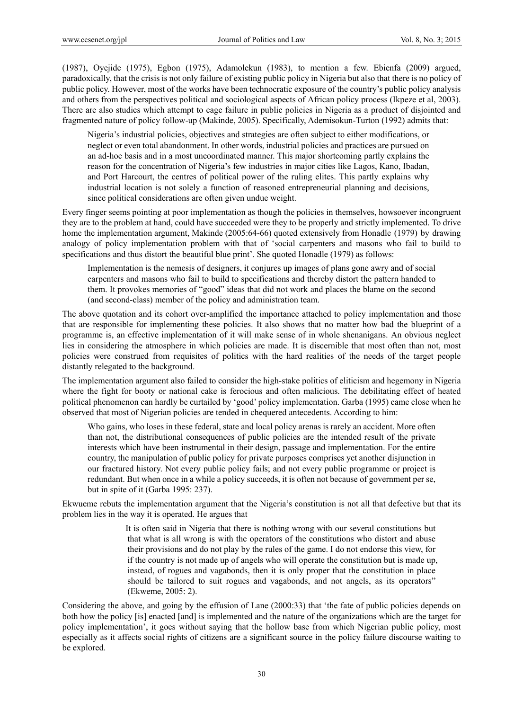(1987), Oyejide (1975), Egbon (1975), Adamolekun (1983), to mention a few. Ebienfa (2009) argued, paradoxically, that the crisis is not only failure of existing public policy in Nigeria but also that there is no policy of public policy. However, most of the works have been technocratic exposure of the country's public policy analysis and others from the perspectives political and sociological aspects of African policy process (Ikpeze et al, 2003). There are also studies which attempt to cage failure in public policies in Nigeria as a product of disjointed and fragmented nature of policy follow-up (Makinde, 2005). Specifically, Ademisokun-Turton (1992) admits that:

Nigeria's industrial policies, objectives and strategies are often subject to either modifications, or neglect or even total abandonment. In other words, industrial policies and practices are pursued on an ad-hoc basis and in a most uncoordinated manner. This major shortcoming partly explains the reason for the concentration of Nigeria's few industries in major cities like Lagos, Kano, Ibadan, and Port Harcourt, the centres of political power of the ruling elites. This partly explains why industrial location is not solely a function of reasoned entrepreneurial planning and decisions, since political considerations are often given undue weight.

Every finger seems pointing at poor implementation as though the policies in themselves, howsoever incongruent they are to the problem at hand, could have succeeded were they to be properly and strictly implemented. To drive home the implementation argument, Makinde (2005:64-66) quoted extensively from Honadle (1979) by drawing analogy of policy implementation problem with that of 'social carpenters and masons who fail to build to specifications and thus distort the beautiful blue print'. She quoted Honadle (1979) as follows:

Implementation is the nemesis of designers, it conjures up images of plans gone awry and of social carpenters and masons who fail to build to specifications and thereby distort the pattern handed to them. It provokes memories of "good" ideas that did not work and places the blame on the second (and second-class) member of the policy and administration team.

The above quotation and its cohort over-amplified the importance attached to policy implementation and those that are responsible for implementing these policies. It also shows that no matter how bad the blueprint of a programme is, an effective implementation of it will make sense of in whole shenanigans. An obvious neglect lies in considering the atmosphere in which policies are made. It is discernible that most often than not, most policies were construed from requisites of politics with the hard realities of the needs of the target people distantly relegated to the background.

The implementation argument also failed to consider the high-stake politics of eliticism and hegemony in Nigeria where the fight for booty or national cake is ferocious and often malicious. The debilitating effect of heated political phenomenon can hardly be curtailed by 'good' policy implementation. Garba (1995) came close when he observed that most of Nigerian policies are tended in chequered antecedents. According to him:

Who gains, who loses in these federal, state and local policy arenas is rarely an accident. More often than not, the distributional consequences of public policies are the intended result of the private interests which have been instrumental in their design, passage and implementation. For the entire country, the manipulation of public policy for private purposes comprises yet another disjunction in our fractured history. Not every public policy fails; and not every public programme or project is redundant. But when once in a while a policy succeeds, it is often not because of government per se, but in spite of it (Garba 1995: 237).

Ekwueme rebuts the implementation argument that the Nigeria's constitution is not all that defective but that its problem lies in the way it is operated. He argues that

> It is often said in Nigeria that there is nothing wrong with our several constitutions but that what is all wrong is with the operators of the constitutions who distort and abuse their provisions and do not play by the rules of the game. I do not endorse this view, for if the country is not made up of angels who will operate the constitution but is made up, instead, of rogues and vagabonds, then it is only proper that the constitution in place should be tailored to suit rogues and vagabonds, and not angels, as its operators" (Ekweme, 2005: 2).

Considering the above, and going by the effusion of Lane (2000:33) that 'the fate of public policies depends on both how the policy [is] enacted [and] is implemented and the nature of the organizations which are the target for policy implementation', it goes without saying that the hollow base from which Nigerian public policy, most especially as it affects social rights of citizens are a significant source in the policy failure discourse waiting to be explored.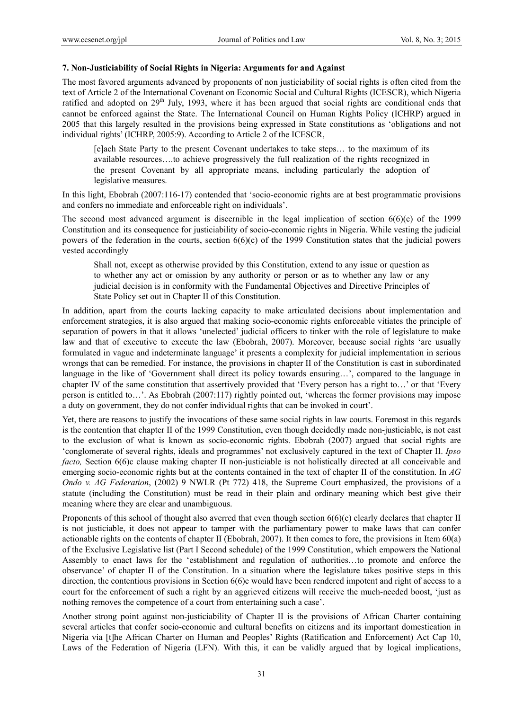#### **7. Non-Justiciability of Social Rights in Nigeria: Arguments for and Against**

The most favored arguments advanced by proponents of non justiciability of social rights is often cited from the text of Article 2 of the International Covenant on Economic Social and Cultural Rights (ICESCR), which Nigeria ratified and adopted on 29<sup>th</sup> July, 1993, where it has been argued that social rights are conditional ends that cannot be enforced against the State. The International Council on Human Rights Policy (ICHRP) argued in 2005 that this largely resulted in the provisions being expressed in State constitutions as 'obligations and not individual rights' (ICHRP, 2005:9). According to Article 2 of the ICESCR,

[e]ach State Party to the present Covenant undertakes to take steps… to the maximum of its available resources….to achieve progressively the full realization of the rights recognized in the present Covenant by all appropriate means, including particularly the adoption of legislative measures.

In this light, Ebobrah (2007:116-17) contended that 'socio-economic rights are at best programmatic provisions and confers no immediate and enforceable right on individuals'.

The second most advanced argument is discernible in the legal implication of section 6(6)(c) of the 1999 Constitution and its consequence for justiciability of socio-economic rights in Nigeria. While vesting the judicial powers of the federation in the courts, section  $6(6)(c)$  of the 1999 Constitution states that the judicial powers vested accordingly

Shall not, except as otherwise provided by this Constitution, extend to any issue or question as to whether any act or omission by any authority or person or as to whether any law or any judicial decision is in conformity with the Fundamental Objectives and Directive Principles of State Policy set out in Chapter II of this Constitution.

In addition, apart from the courts lacking capacity to make articulated decisions about implementation and enforcement strategies, it is also argued that making socio-economic rights enforceable vitiates the principle of separation of powers in that it allows 'unelected' judicial officers to tinker with the role of legislature to make law and that of executive to execute the law (Ebobrah, 2007). Moreover, because social rights 'are usually formulated in vague and indeterminate language' it presents a complexity for judicial implementation in serious wrongs that can be remedied. For instance, the provisions in chapter II of the Constitution is cast in subordinated language in the like of 'Government shall direct its policy towards ensuring…', compared to the language in chapter IV of the same constitution that assertively provided that 'Every person has a right to…' or that 'Every person is entitled to…'. As Ebobrah (2007:117) rightly pointed out, 'whereas the former provisions may impose a duty on government, they do not confer individual rights that can be invoked in court'.

Yet, there are reasons to justify the invocations of these same social rights in law courts. Foremost in this regards is the contention that chapter II of the 1999 Constitution, even though decidedly made non-justiciable, is not cast to the exclusion of what is known as socio-economic rights. Ebobrah (2007) argued that social rights are 'conglomerate of several rights, ideals and programmes' not exclusively captured in the text of Chapter II. *Ipso facto*, Section 6(6)c clause making chapter II non-justiciable is not holistically directed at all conceivable and emerging socio-economic rights but at the contents contained in the text of chapter II of the constitution. In *AG Ondo v. AG Federation*, (2002) 9 NWLR (Pt 772) 418, the Supreme Court emphasized, the provisions of a statute (including the Constitution) must be read in their plain and ordinary meaning which best give their meaning where they are clear and unambiguous.

Proponents of this school of thought also averred that even though section 6(6)(c) clearly declares that chapter II is not justiciable, it does not appear to tamper with the parliamentary power to make laws that can confer actionable rights on the contents of chapter II (Ebobrah, 2007). It then comes to fore, the provisions in Item 60(a) of the Exclusive Legislative list (Part I Second schedule) of the 1999 Constitution, which empowers the National Assembly to enact laws for the 'establishment and regulation of authorities…to promote and enforce the observance' of chapter II of the Constitution. In a situation where the legislature takes positive steps in this direction, the contentious provisions in Section 6(6)c would have been rendered impotent and right of access to a court for the enforcement of such a right by an aggrieved citizens will receive the much-needed boost, 'just as nothing removes the competence of a court from entertaining such a case'.

Another strong point against non-justiciability of Chapter II is the provisions of African Charter containing several articles that confer socio-economic and cultural benefits on citizens and its important domestication in Nigeria via [t]he African Charter on Human and Peoples' Rights (Ratification and Enforcement) Act Cap 10, Laws of the Federation of Nigeria (LFN). With this, it can be validly argued that by logical implications,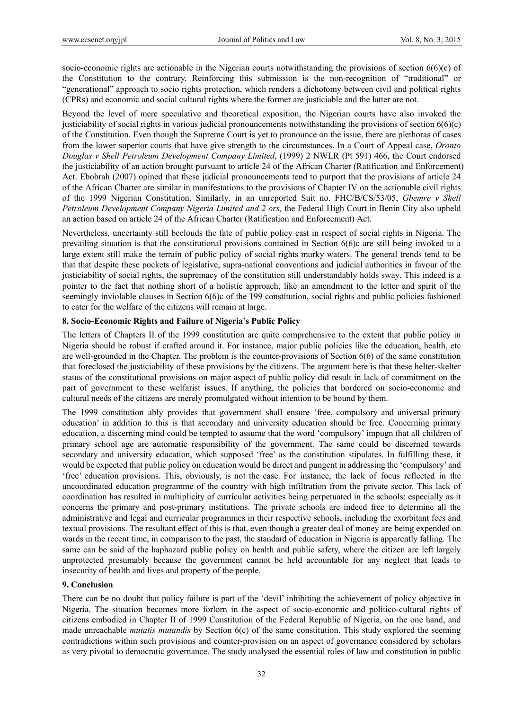socio-economic rights are actionable in the Nigerian courts notwithstanding the provisions of section  $6(6)(c)$  of the Constitution to the contrary. Reinforcing this submission is the non-recognition of "traditional" or "generational" approach to socio rights protection, which renders a dichotomy between civil and political rights (CPRs) and economic and social cultural rights where the former are justiciable and the latter are not.

Beyond the level of mere speculative and theoretical exposition, the Nigerian courts have also invoked the justiciability of social rights in various judicial pronouncements notwithstanding the provisions of section  $6(6)(c)$ of the Constitution. Even though the Supreme Court is yet to pronounce on the issue, there are plethoras of cases from the lower superior courts that have give strength to the circumstances. In a Court of Appeal case, *Oronto Douglas v Shell Petroleum Development Company Limited*, (1999) 2 NWLR (Pt 591) 466, the Court endorsed the justiciability of an action brought pursuant to article 24 of the African Charter (Ratification and Enforcement) Act. Ebobrah (2007) opined that these judicial pronouncements tend to purport that the provisions of article 24 of the African Charter are similar in manifestations to the provisions of Chapter IV on the actionable civil rights of the 1999 Nigerian Constitution. Similarly, in an unreported Suit no. FHC/B/CS/53/05, *Gbemre v Shell Petroleum Development Company Nigeria Limited and 2 ors, the Federal High Court in Benin City also upheld* an action based on article 24 of the African Charter (Ratification and Enforcement) Act.

Nevertheless, uncertainty still beclouds the fate of public policy cast in respect of social rights in Nigeria. The prevailing situation is that the constitutional provisions contained in Section 6(6)c are still being invoked to a large extent still make the terrain of public policy of social rights murky waters. The general trends tend to be that that despite these pockets of legislative, supra-national conventions and judicial authorities in favour of the justiciability of social rights, the supremacy of the constitution still understandably holds sway. This indeed is a pointer to the fact that nothing short of a holistic approach, like an amendment to the letter and spirit of the seemingly inviolable clauses in Section 6(6)c of the 199 constitution, social rights and public policies fashioned to cater for the welfare of the citizens will remain at large.

#### **8. Socio-Economic Rights and Failure of Nigeria's Public Policy**

The letters of Chapters II of the 1999 constitution are quite comprehensive to the extent that public policy in Nigeria should be robust if crafted around it. For instance, major public policies like the education, health, etc are well-grounded in the Chapter. The problem is the counter-provisions of Section 6(6) of the same constitution that foreclosed the justiciability of these provisions by the citizens. The argument here is that these helter-skelter status of the constitutional provisions on major aspect of public policy did result in lack of commitment on the part of government to these welfarist issues. If anything, the policies that bordered on socio-economic and cultural needs of the citizens are merely promulgated without intention to be bound by them.

The 1999 constitution ably provides that government shall ensure 'free, compulsory and universal primary education' in addition to this is that secondary and university education should be free. Concerning primary education, a discerning mind could be tempted to assume that the word 'compulsory' impugn that all children of primary school age are automatic responsibility of the government. The same could be discerned towards secondary and university education, which supposed 'free' as the constitution stipulates. In fulfilling these, it would be expected that public policy on education would be direct and pungent in addressing the 'compulsory' and 'free' education provisions. This, obviously, is not the case. For instance, the lack of focus reflected in the uncoordinated education programme of the country with high infiltration from the private sector. This lack of coordination has resulted in multiplicity of curricular activities being perpetuated in the schools; especially as it concerns the primary and post-primary institutions. The private schools are indeed free to determine all the administrative and legal and curricular programmes in their respective schools, including the exorbitant fees and textual provisions. The resultant effect of this is that, even though a greater deal of money are being expended on wards in the recent time, in comparison to the past, the standard of education in Nigeria is apparently falling. The same can be said of the haphazard public policy on health and public safety, where the citizen are left largely unprotected presumably because the government cannot be held accountable for any neglect that leads to insecurity of health and lives and property of the people.

## **9. Conclusion**

There can be no doubt that policy failure is part of the 'devil' inhibiting the achievement of policy objective in Nigeria. The situation becomes more forlorn in the aspect of socio-economic and politico-cultural rights of citizens embodied in Chapter II of 1999 Constitution of the Federal Republic of Nigeria, on the one hand, and made unreachable *mutatis mutandis* by Section 6(c) of the same constitution. This study explored the seeming contradictions within such provisions and counter-provision on an aspect of governance considered by scholars as very pivotal to democratic governance. The study analysed the essential roles of law and constitution in public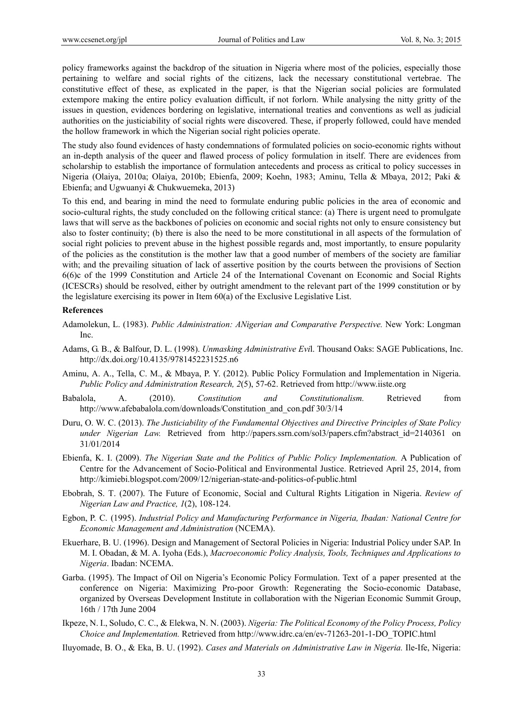policy frameworks against the backdrop of the situation in Nigeria where most of the policies, especially those pertaining to welfare and social rights of the citizens, lack the necessary constitutional vertebrae. The constitutive effect of these, as explicated in the paper, is that the Nigerian social policies are formulated extempore making the entire policy evaluation difficult, if not forlorn. While analysing the nitty gritty of the issues in question, evidences bordering on legislative, international treaties and conventions as well as judicial authorities on the justiciability of social rights were discovered. These, if properly followed, could have mended the hollow framework in which the Nigerian social right policies operate.

The study also found evidences of hasty condemnations of formulated policies on socio-economic rights without an in-depth analysis of the queer and flawed process of policy formulation in itself. There are evidences from scholarship to establish the importance of formulation antecedents and process as critical to policy successes in Nigeria (Olaiya, 2010a; Olaiya, 2010b; Ebienfa, 2009; Koehn, 1983; Aminu, Tella & Mbaya, 2012; Paki & Ebienfa; and Ugwuanyi & Chukwuemeka, 2013)

To this end, and bearing in mind the need to formulate enduring public policies in the area of economic and socio-cultural rights, the study concluded on the following critical stance: (a) There is urgent need to promulgate laws that will serve as the backbones of policies on economic and social rights not only to ensure consistency but also to foster continuity; (b) there is also the need to be more constitutional in all aspects of the formulation of social right policies to prevent abuse in the highest possible regards and, most importantly, to ensure popularity of the policies as the constitution is the mother law that a good number of members of the society are familiar with; and the prevailing situation of lack of assertive position by the courts between the provisions of Section 6(6)c of the 1999 Constitution and Article 24 of the International Covenant on Economic and Social Rights (ICESCRs) should be resolved, either by outright amendment to the relevant part of the 1999 constitution or by the legislature exercising its power in Item 60(a) of the Exclusive Legislative List.

#### **References**

- Adamolekun, L. (1983). *Public Administration: ANigerian and Comparative Perspective.* New York: Longman Inc.
- Adams, G. B., & Balfour, D. L. (1998). *Unmasking Administrative Evi*l. Thousand Oaks: SAGE Publications, Inc. http://dx.doi.org/10.4135/9781452231525.n6
- Aminu, A. A., Tella, C. M., & Mbaya, P. Y. (2012). Public Policy Formulation and Implementation in Nigeria. *Public Policy and Administration Research, 2*(5), 57-62. Retrieved from http://www.iiste.org
- Babalola, A. (2010). *Constitution and Constitutionalism.* Retrieved from http://www.afebabalola.com/downloads/Constitution\_and\_con.pdf 30/3/14
- Duru, O. W. C. (2013). *The Justiciability of the Fundamental Objectives and Directive Principles of State Policy under Nigerian Law.* Retrieved from http://papers.ssrn.com/sol3/papers.cfm?abstract\_id=2140361 on 31/01/2014
- Ebienfa, K. I. (2009). *The Nigerian State and the Politics of Public Policy Implementation.* A Publication of Centre for the Advancement of Socio-Political and Environmental Justice. Retrieved April 25, 2014, from http://kimiebi.blogspot.com/2009/12/nigerian-state-and-politics-of-public.html
- Ebobrah, S. T. (2007). The Future of Economic, Social and Cultural Rights Litigation in Nigeria. *Review of Nigerian Law and Practice, 1*(2), 108-124.
- Egbon, P. C. (1995). *Industrial Policy and Manufacturing Performance in Nigeria, Ibadan: National Centre for Economic Management and Administration* (NCEMA).
- Ekuerhare, B. U. (1996). Design and Management of Sectoral Policies in Nigeria: Industrial Policy under SAP. In M. I. Obadan, & M. A. Iyoha (Eds.), *Macroeconomic Policy Analysis, Tools, Techniques and Applications to Nigeria*. Ibadan: NCEMA.
- Garba. (1995). The Impact of Oil on Nigeria's Economic Policy Formulation. Text of a paper presented at the conference on Nigeria: Maximizing Pro-poor Growth: Regenerating the Socio-economic Database, organized by Overseas Development Institute in collaboration with the Nigerian Economic Summit Group, 16th / 17th June 2004
- Ikpeze, N. I., Soludo, C. C., & Elekwa, N. N. (2003). *Nigeria: The Political Economy of the Policy Process, Policy Choice and Implementation.* Retrieved from http://www.idrc.ca/en/ev-71263-201-1-DO\_TOPIC.html
- Iluyomade, B. O., & Eka, B. U. (1992). *Cases and Materials on Administrative Law in Nigeria.* Ile-Ife, Nigeria: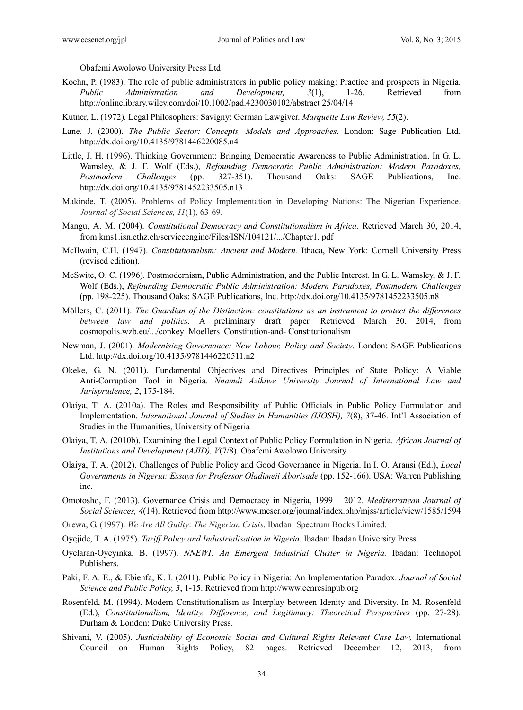Obafemi Awolowo University Press Ltd

- Koehn, P. (1983). The role of public administrators in public policy making: Practice and prospects in Nigeria. *Public Administration and Development, 3*(1), 1-26. Retrieved from http://onlinelibrary.wiley.com/doi/10.1002/pad.4230030102/abstract 25/04/14
- Kutner, L. (1972). Legal Philosophers: Savigny: German Lawgiver. *Marquette Law Review, 55*(2).
- Lane. J. (2000). *The Public Sector: Concepts, Models and Approaches*. London: Sage Publication Ltd. http://dx.doi.org/10.4135/9781446220085.n4
- Little, J. H. (1996). Thinking Government: Bringing Democratic Awareness to Public Administration. In G. L. Wamsley, & J. F. Wolf (Eds.), *Refounding Democratic Public Administration: Modern Paradoxes, Postmodern Challenges* (pp. 327-351). Thousand Oaks: SAGE Publications, Inc. http://dx.doi.org/10.4135/9781452233505.n13
- Makinde, T. (2005). Problems of Policy Implementation in Developing Nations: The Nigerian Experience. *Journal of Social Sciences, 11*(1), 63-69.
- Mangu, A. M. (2004). *Constitutional Democracy and Constitutionalism in Africa.* Retrieved March 30, 2014, from kms1.isn.ethz.ch/serviceengine/Files/ISN/104121/.../Chapter1. pdf
- McIlwain, C.H. (1947). *Constitutionalism: Ancient and Modern.* Ithaca, New York: Cornell University Press (revised edition).
- McSwite, O. C. (1996). Postmodernism, Public Administration, and the Public Interest. In G. L. Wamsley, & J. F. Wolf (Eds.), *Refounding Democratic Public Administration: Modern Paradoxes, Postmodern Challenges* (pp. 198-225). Thousand Oaks: SAGE Publications, Inc. http://dx.doi.org/10.4135/9781452233505.n8
- Möllers, C. (2011). *The Guardian of the Distinction: constitutions as an instrument to protect the differences between law and politics.* A preliminary draft paper. Retrieved March 30, 2014, from cosmopolis.wzb.eu/.../conkey\_Moellers\_Constitution-and- Constitutionalism
- Newman, J. (2001). *Modernising Governance: New Labour, Policy and Society*. London: SAGE Publications Ltd. http://dx.doi.org/10.4135/9781446220511.n2
- Okeke, G. N. (2011). Fundamental Objectives and Directives Principles of State Policy: A Viable Anti-Corruption Tool in Nigeria. *Nnamdi Azikiwe University Journal of International Law and Jurisprudence, 2*, 175-184.
- Olaiya, T. A. (2010a). The Roles and Responsibility of Public Officials in Public Policy Formulation and Implementation. *International Journal of Studies in Humanities (IJOSH), 7*(8), 37-46. Int'l Association of Studies in the Humanities, University of Nigeria
- Olaiya, T. A. (2010b). Examining the Legal Context of Public Policy Formulation in Nigeria. *African Journal of Institutions and Development (AJID), V*(7/8). Obafemi Awolowo University
- Olaiya, T. A. (2012). Challenges of Public Policy and Good Governance in Nigeria. In I. O. Aransi (Ed.), *Local Governments in Nigeria: Essays for Professor Oladimeji Aborisade* (pp. 152-166). USA: Warren Publishing inc.
- Omotosho, F. (2013). Governance Crisis and Democracy in Nigeria, 1999 2012. *Mediterranean Journal of Social Sciences, 4*(14). Retrieved from http://www.mcser.org/journal/index.php/mjss/article/view/1585/1594
- Orewa, G. (1997). *We Are All Guilty*: *The Nigerian Crisis*. Ibadan: Spectrum Books Limited.
- Oyejide, T. A. (1975). *Tariff Policy and Industrialisation in Nigeria*. Ibadan: Ibadan University Press.
- Oyelaran-Oyeyinka, B. (1997). *NNEWI: An Emergent Industrial Cluster in Nigeria.* Ibadan: Technopol Publishers.
- Paki, F. A. E., & Ebienfa, K. I. (2011). Public Policy in Nigeria: An Implementation Paradox. *Journal of Social Science and Public Policy, 3*, 1-15. Retrieved from http://www.cenresinpub.org
- Rosenfeld, M. (1994). Modern Constitutionalism as Interplay between Idenity and Diversity. In M. Rosenfeld (Ed.), *Constitutionalism, Identity, Difference, and Legitimacy: Theoretical Perspectives* (pp. 27-28). Durham & London: Duke University Press.
- Shivani, V. (2005). *Justiciability of Economic Social and Cultural Rights Relevant Case Law,* International Council on Human Rights Policy, 82 pages. Retrieved December 12, 2013, from